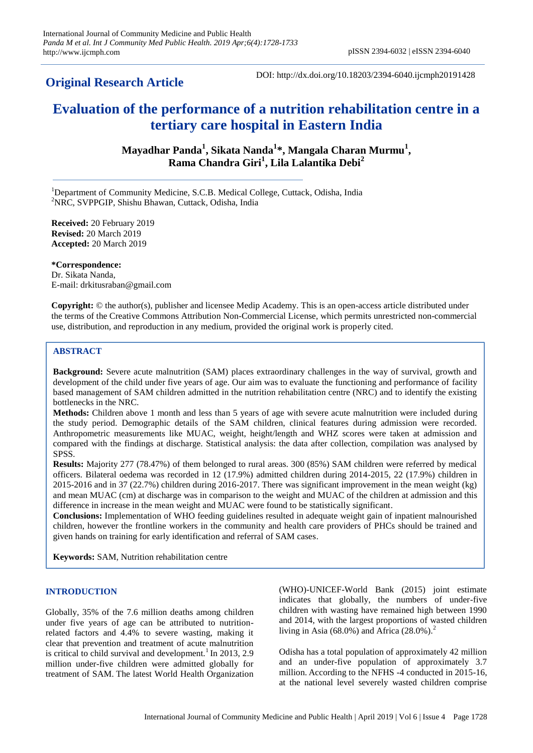# **Original Research Article**

DOI: http://dx.doi.org/10.18203/2394-6040.ijcmph20191428

# **Evaluation of the performance of a nutrition rehabilitation centre in a tertiary care hospital in Eastern India**

**Mayadhar Panda<sup>1</sup> , Sikata Nanda<sup>1</sup> \*, Mangala Charan Murmu<sup>1</sup> , Rama Chandra Giri<sup>1</sup> , Lila Lalantika Debi<sup>2</sup>**

<sup>1</sup>Department of Community Medicine, S.C.B. Medical College, Cuttack, Odisha, India <sup>2</sup>NRC, SVPPGIP, Shishu Bhawan, Cuttack, Odisha, India

**Received:** 20 February 2019 **Revised:** 20 March 2019 **Accepted:** 20 March 2019

**\*Correspondence:** Dr. Sikata Nanda, E-mail: drkitusraban@gmail.com

**Copyright:** © the author(s), publisher and licensee Medip Academy. This is an open-access article distributed under the terms of the Creative Commons Attribution Non-Commercial License, which permits unrestricted non-commercial use, distribution, and reproduction in any medium, provided the original work is properly cited.

## **ABSTRACT**

**Background:** Severe acute malnutrition (SAM) places extraordinary challenges in the way of survival, growth and development of the child under five years of age. Our aim was to evaluate the functioning and performance of facility based management of SAM children admitted in the nutrition rehabilitation centre (NRC) and to identify the existing bottlenecks in the NRC.

**Methods:** Children above 1 month and less than 5 years of age with severe acute malnutrition were included during the study period. Demographic details of the SAM children, clinical features during admission were recorded. Anthropometric measurements like MUAC, weight, height/length and WHZ scores were taken at admission and compared with the findings at discharge. Statistical analysis: the data after collection, compilation was analysed by SPSS.

**Results:** Majority 277 (78.47%) of them belonged to rural areas. 300 (85%) SAM children were referred by medical officers. Bilateral oedema was recorded in 12 (17.9%) admitted children during 2014-2015, 22 (17.9%) children in 2015-2016 and in 37 (22.7%) children during 2016-2017. There was significant improvement in the mean weight (kg) and mean MUAC (cm) at discharge was in comparison to the weight and MUAC of the children at admission and this difference in increase in the mean weight and MUAC were found to be statistically significant.

**Conclusions:** Implementation of WHO feeding guidelines resulted in adequate weight gain of inpatient malnourished children, however the frontline workers in the community and health care providers of PHCs should be trained and given hands on training for early identification and referral of SAM cases.

**Keywords:** SAM, Nutrition rehabilitation centre

## **INTRODUCTION**

Globally, 35% of the 7.6 million deaths among children under five years of age can be attributed to nutritionrelated factors and 4.4% to severe wasting, making it clear that prevention and treatment of acute malnutrition is critical to child survival and development.<sup>1</sup> In 2013, 2.9 million under-five children were admitted globally for treatment of SAM. The latest World Health Organization (WHO)-UNICEF-World Bank (2015) joint estimate indicates that globally, the numbers of under-five children with wasting have remained high between 1990 and 2014, with the largest proportions of wasted children living in Asia (68.0%) and Africa  $(28.0\%)$ .<sup>2</sup>

Odisha has a total population of approximately 42 million and an under-five population of approximately 3.7 million. According to the NFHS -4 conducted in 2015-16, at the national level severely wasted children comprise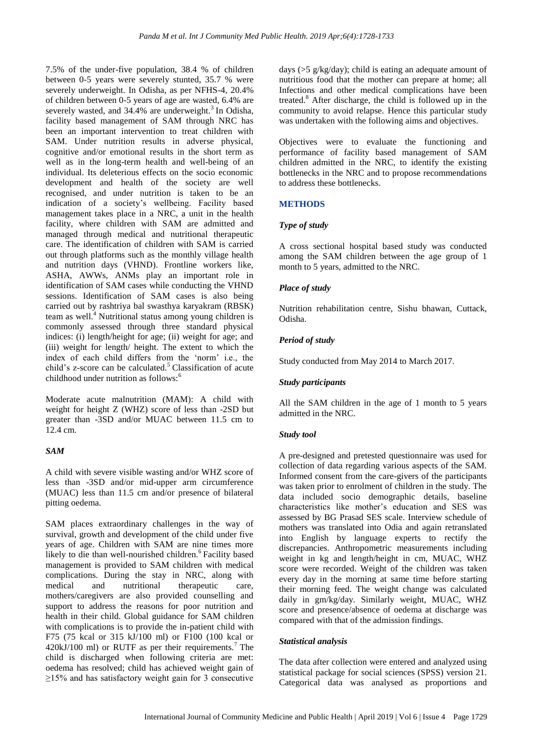7.5% of the under-five population, 38.4 % of children between 0-5 years were severely stunted, 35.7 % were severely underweight. In Odisha, as per NFHS-4, 20.4% of children between 0-5 years of age are wasted, 6.4% are severely wasted, and  $34.4\%$  are underweight.<sup>3</sup> In Odisha, facility based management of SAM through NRC has been an important intervention to treat children with SAM. Under nutrition results in adverse physical, cognitive and/or emotional results in the short term as well as in the long-term health and well-being of an individual. Its deleterious effects on the socio economic development and health of the society are well recognised, and under nutrition is taken to be an indication of a society's wellbeing. Facility based management takes place in a NRC, a unit in the health facility, where children with SAM are admitted and managed through medical and nutritional therapeutic care. The identification of children with SAM is carried out through platforms such as the monthly village health and nutrition days (VHND). Frontline workers like, ASHA, AWWs, ANMs play an important role in identification of SAM cases while conducting the VHND sessions. Identification of SAM cases is also being carried out by rashtriya bal swasthya karyakram (RBSK) team as well.<sup>4</sup> Nutritional status among young children is commonly assessed through three standard physical indices: (i) length/height for age; (ii) weight for age; and (iii) weight for length/ height. The extent to which the index of each child differs from the 'norm' i.e., the child's z-score can be calculated.<sup>5</sup> Classification of acute childhood under nutrition as follows:<sup>6</sup>

Moderate acute malnutrition (MAM): A child with weight for height Z (WHZ) score of less than -2SD but greater than -3SD and/or MUAC between 11.5 cm to 12.4 cm.

## *SAM*

A child with severe visible wasting and/or WHZ score of less than -3SD and/or mid-upper arm circumference (MUAC) less than 11.5 cm and/or presence of bilateral pitting oedema.

SAM places extraordinary challenges in the way of survival, growth and development of the child under five years of age. Children with SAM are nine times more likely to die than well-nourished children.<sup>6</sup> Facility based management is provided to SAM children with medical complications. During the stay in NRC, along with medical and nutritional therapeutic care, mothers/caregivers are also provided counselling and support to address the reasons for poor nutrition and health in their child. Global guidance for SAM children with complications is to provide the in-patient child with F75 (75 kcal or 315 kJ/100 ml) or F100 (100 kcal or  $420kJ/100$  ml) or RUTF as per their requirements.<sup>7</sup> The child is discharged when following criteria are met: oedema has resolved; child has achieved weight gain of  $\geq$ 15% and has satisfactory weight gain for 3 consecutive

days (>5 g/kg/day); child is eating an adequate amount of nutritious food that the mother can prepare at home; all Infections and other medical complications have been treated.<sup>8</sup> After discharge, the child is followed up in the community to avoid relapse. Hence this particular study was undertaken with the following aims and objectives.

Objectives were to evaluate the functioning and performance of facility based management of SAM children admitted in the NRC, to identify the existing bottlenecks in the NRC and to propose recommendations to address these bottlenecks.

# **METHODS**

# *Type of study*

A cross sectional hospital based study was conducted among the SAM children between the age group of 1 month to 5 years, admitted to the NRC.

# *Place of study*

Nutrition rehabilitation centre, Sishu bhawan, Cuttack, Odisha.

# *Period of study*

Study conducted from May 2014 to March 2017.

## *Study participants*

All the SAM children in the age of 1 month to 5 years admitted in the NRC.

## *Study tool*

A pre-designed and pretested questionnaire was used for collection of data regarding various aspects of the SAM. Informed consent from the care-givers of the participants was taken prior to enrolment of children in the study. The data included socio demographic details, baseline characteristics like mother's education and SES was assessed by BG Prasad SES scale. Interview schedule of mothers was translated into Odia and again retranslated into English by language experts to rectify the discrepancies. Anthropometric measurements including weight in kg and length/height in cm, MUAC, WHZ score were recorded. Weight of the children was taken every day in the morning at same time before starting their morning feed. The weight change was calculated daily in gm/kg/day. Similarly weight, MUAC, WHZ score and presence/absence of oedema at discharge was compared with that of the admission findings.

## *Statistical analysis*

The data after collection were entered and analyzed using statistical package for social sciences (SPSS) version 21. Categorical data was analysed as proportions and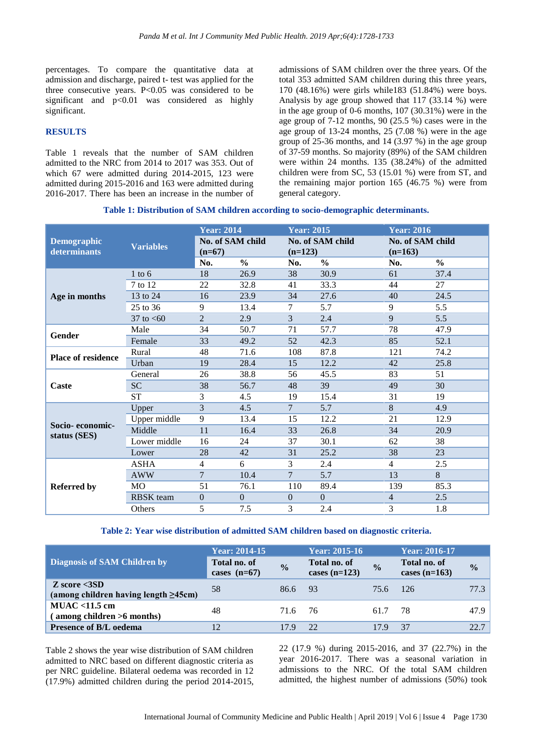percentages. To compare the quantitative data at admission and discharge, paired t- test was applied for the three consecutive years. P<0.05 was considered to be significant and p<0.01 was considered as highly significant.

# **RESULTS**

Table 1 reveals that the number of SAM children admitted to the NRC from 2014 to 2017 was 353. Out of which 67 were admitted during 2014-2015, 123 were admitted during 2015-2016 and 163 were admitted during 2016-2017. There has been an increase in the number of admissions of SAM children over the three years. Of the total 353 admitted SAM children during this three years, 170 (48.16%) were girls while183 (51.84%) were boys. Analysis by age group showed that 117 (33.14 %) were in the age group of 0-6 months, 107 (30.31%) were in the age group of 7-12 months, 90 (25.5 %) cases were in the age group of 13-24 months, 25 (7.08 %) were in the age group of 25-36 months, and 14 (3.97 %) in the age group of 37-59 months. So majority (89%) of the SAM children were within 24 months. 135 (38.24%) of the admitted children were from SC, 53 (15.01 %) were from ST, and the remaining major portion 165 (46.75 %) were from general category.

#### **Table 1: Distribution of SAM children according to socio-demographic determinants.**

| <b>Demographic</b><br>determinants | <b>Variables</b> | <b>Year: 2014</b><br>No. of SAM child<br>$(n=67)$ |               | <b>Year: 2015</b><br>No. of SAM child<br>$(n=123)$ |               | <b>Year: 2016</b><br>No. of SAM child<br>$(n=163)$ |               |
|------------------------------------|------------------|---------------------------------------------------|---------------|----------------------------------------------------|---------------|----------------------------------------------------|---------------|
|                                    |                  | No.                                               | $\frac{0}{0}$ | No.                                                | $\frac{0}{0}$ | No.                                                | $\frac{0}{0}$ |
|                                    | $1$ to $6$       | 18                                                | 26.9          | 38                                                 | 30.9          | 61                                                 | 37.4          |
|                                    | 7 to 12          | 22                                                | 32.8          | 41                                                 | 33.3          | 44                                                 | 27            |
| Age in months                      | 13 to 24         | 16                                                | 23.9          | 34                                                 | 27.6          | 40                                                 | 24.5          |
|                                    | 25 to 36         | 9                                                 | 13.4          | 7                                                  | 5.7           | 9                                                  | 5.5           |
|                                    | 37 to $< 60$     | $\overline{2}$                                    | 2.9           | 3                                                  | 2.4           | 9                                                  | 5.5           |
| Gender                             | Male             | 34                                                | 50.7          | 71                                                 | 57.7          | 78                                                 | 47.9          |
|                                    | Female           | 33                                                | 49.2          | 52                                                 | 42.3          | 85                                                 | 52.1          |
| <b>Place of residence</b>          | Rural            | 48                                                | 71.6          | 108                                                | 87.8          | 121                                                | 74.2          |
|                                    | Urban            | 19                                                | 28.4          | 15                                                 | 12.2          | 42                                                 | 25.8          |
|                                    | General          | 26                                                | 38.8          | 56                                                 | 45.5          | 83                                                 | 51            |
| Caste                              | <b>SC</b>        | 38                                                | 56.7          | 48                                                 | 39            | 49                                                 | 30            |
|                                    | <b>ST</b>        | 3                                                 | 4.5           | 19                                                 | 15.4          | 31                                                 | 19            |
|                                    | Upper            | 3                                                 | 4.5           | $\tau$                                             | 5.7           | 8                                                  | 4.9           |
| Socio-economic-                    | Upper middle     | 9                                                 | 13.4          | 15                                                 | 12.2          | 21                                                 | 12.9          |
| status (SES)                       | Middle           | 11                                                | 16.4          | 33                                                 | 26.8          | 34                                                 | 20.9          |
|                                    | Lower middle     | 16                                                | 24            | 37                                                 | 30.1          | 62                                                 | 38            |
|                                    | Lower            | 28                                                | 42            | 31                                                 | 25.2          | 38                                                 | 23            |
|                                    | <b>ASHA</b>      | 4                                                 | 6             | 3                                                  | 2.4           | $\overline{4}$                                     | 2.5           |
| <b>Referred by</b>                 | <b>AWW</b>       | $\overline{7}$                                    | 10.4          | $\overline{7}$                                     | 5.7           | 13                                                 | 8             |
|                                    | MO               | 51                                                | 76.1          | 110                                                | 89.4          | 139                                                | 85.3          |
|                                    | <b>RBSK</b> team | $\boldsymbol{0}$                                  | $\Omega$      | $\Omega$                                           | $\Omega$      | $\overline{4}$                                     | 2.5           |
|                                    | Others           | 5                                                 | 7.5           | 3                                                  | 2.4           | 3                                                  | 1.8           |

#### **Table 2: Year wise distribution of admitted SAM children based on diagnostic criteria.**

|                                                                          | <b>Year: 2014-15</b>                  |               | Year: 2015-16                   |               | Year: 2016-17                   |               |
|--------------------------------------------------------------------------|---------------------------------------|---------------|---------------------------------|---------------|---------------------------------|---------------|
| <b>Diagnosis of SAM Children by</b>                                      | <b>Total no. of</b><br>cases $(n=67)$ | $\frac{0}{0}$ | Total no. of<br>cases $(n=123)$ | $\frac{0}{0}$ | Total no. of<br>cases $(n=163)$ | $\frac{0}{0}$ |
| $\chi$ score $\langle$ 3SD<br>(among children having length $\geq$ 45cm) | 58                                    | 86.6 93       |                                 | 75.6 126      |                                 | 77.3 l        |
| $MUAC < 11.5$ cm<br>(among children >6 months)                           | 48                                    | 71.6 76       |                                 | 61.7          | -78                             | 47.9          |
| <b>Presence of B/L oedema</b>                                            | 12                                    | 179           | 22.                             | 17.9          | -37                             | 22.7          |

Table 2 shows the year wise distribution of SAM children admitted to NRC based on different diagnostic criteria as per NRC guideline. Bilateral oedema was recorded in 12 (17.9%) admitted children during the period 2014-2015, 22 (17.9 %) during 2015-2016, and 37 (22.7%) in the year 2016-2017. There was a seasonal variation in admissions to the NRC. Of the total SAM children admitted, the highest number of admissions (50%) took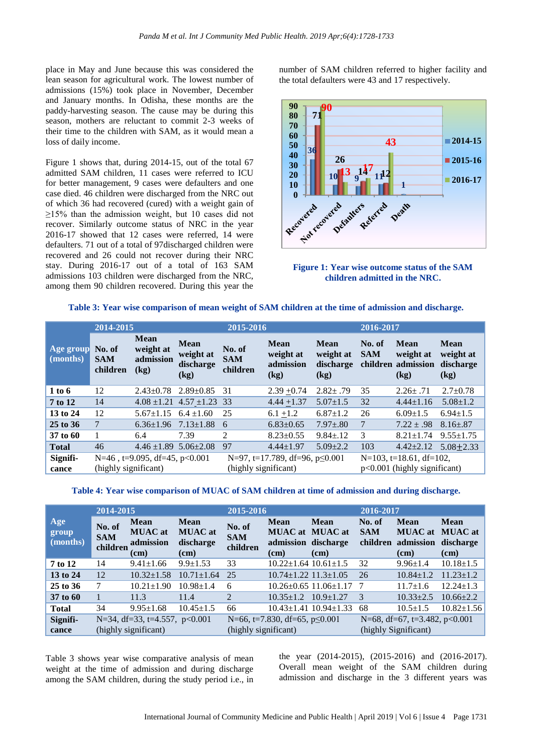place in May and June because this was considered the lean season for agricultural work. The lowest number of admissions (15%) took place in November, December and January months. In Odisha, these months are the paddy-harvesting season. The cause may be during this season, mothers are reluctant to commit 2-3 weeks of their time to the children with SAM, as it would mean a loss of daily income.

Figure 1 shows that, during 2014-15, out of the total 67 admitted SAM children, 11 cases were referred to ICU for better management, 9 cases were defaulters and one case died. 46 children were discharged from the NRC out of which 36 had recovered (cured) with a weight gain of  $\geq$ 15% than the admission weight, but 10 cases did not recover. Similarly outcome status of NRC in the year 2016-17 showed that 12 cases were referred, 14 were defaulters. 71 out of a total of 97discharged children were recovered and 26 could not recover during their NRC stay. During 2016-17 out of a total of 163 SAM admissions 103 children were discharged from the NRC, among them 90 children recovered. During this year the

number of SAM children referred to higher facility and the total defaulters were 43 and 17 respectively.



**Figure 1: Year wise outcome status of the SAM children admitted in the NRC.**

|  | Table 3: Year wise comparison of mean weight of SAM children at the time of admission and discharge. |  |  |  |  |  |
|--|------------------------------------------------------------------------------------------------------|--|--|--|--|--|
|  |                                                                                                      |  |  |  |  |  |

|                       | 2014-2015                        |                                               |                                               | 2015-2016                        |                                               |                                        | 2016-2017            |                                                            |                                        |
|-----------------------|----------------------------------|-----------------------------------------------|-----------------------------------------------|----------------------------------|-----------------------------------------------|----------------------------------------|----------------------|------------------------------------------------------------|----------------------------------------|
| Age group<br>(months) | No. of<br><b>SAM</b><br>children | <b>Mean</b><br>weight at<br>admission<br>(kg) | <b>Mean</b><br>weight at<br>discharge<br>(kg) | No. of<br><b>SAM</b><br>children | <b>Mean</b><br>weight at<br>admission<br>(kg) | Mean<br>weight at<br>discharge<br>(kg) | No. of<br><b>SAM</b> | Mean<br>weight at<br>children admission<br>(kg)            | Mean<br>weight at<br>discharge<br>(kg) |
| 1 to 6                | 12                               | $2.43 \pm 0.78$                               | $2.89 + 0.85$                                 | 31                               | $2.39 + 0.74$                                 | $2.82 \pm .79$                         | 35                   | $2.26 \pm .71$                                             | $2.7 \pm 0.78$                         |
| 7 to 12               | 14                               |                                               | $4.08 \pm 1.21$ $4.57 \pm 1.23$ 33            |                                  | $4.44 + 1.37$                                 | $5.07 \pm 1.5$                         | 32                   | $4.44 \pm 1.16$                                            | $5.08 \pm 1.2$                         |
| 13 to 24              | 12                               | $5.67 \pm 1.15$                               | $6.4 \pm 1.60$                                | 25                               | $6.1 + 1.2$                                   | $6.87 \pm 1.2$                         | 26                   | $6.09 \pm 1.5$                                             | $6.94 \pm 1.5$                         |
| 25 to 36              | 7                                | $6.36 \pm 1.96$                               | $7.13 \pm 1.88$                               | 6                                | $6.83 \pm 0.65$                               | $7.97 \pm .80$                         | 7                    | $7.22 \pm .98$                                             | $8.16{\pm}.87$                         |
| 37 to 60              |                                  | 6.4                                           | 7.39                                          | 2                                | $8.23 \pm 0.55$                               | $9.84 \pm .12$                         | 3                    | $8.21 \pm 1.74$                                            | $9.55 \pm 1.75$                        |
| <b>Total</b>          | 46                               | $4.46 \pm 1.89$ 5.06 $\pm 2.08$               |                                               | 97                               | $4.44 \pm 1.97$                               | $5.09 \pm 2.2$                         | 103                  | $4.42 \pm 2.12$                                            | $5.08 \pm 2.33$                        |
| Signifi-<br>cance     | (highly significant)             | $N=46$ , t=9.095, df=45, p<0.001              |                                               | (highly significant)             | N=97, t=17.789, df=96, $p \le 0.001$          |                                        |                      | $N=103$ , t=18.61, df=102,<br>p<0.001 (highly significant) |                                        |

#### **Table 4: Year wise comparison of MUAC of SAM children at time of admission and during discharge.**

|                          | 2014-2015                        |                                                                 |                                                    | 2015-2016                        |                                                                      |                                   | 2016-2017                        |                                                       |                                             |
|--------------------------|----------------------------------|-----------------------------------------------------------------|----------------------------------------------------|----------------------------------|----------------------------------------------------------------------|-----------------------------------|----------------------------------|-------------------------------------------------------|---------------------------------------------|
| Age<br>group<br>(months) | No. of<br><b>SAM</b><br>children | <b>Mean</b><br><b>MUAC</b> at<br>admission<br>(c <sub>m</sub> ) | <b>Mean</b><br><b>MUAC</b> at<br>discharge<br>(cm) | No. of<br><b>SAM</b><br>children | <b>Mean</b><br><b>MUAC</b> at MUAC at<br>admission discharge<br>(cm) | Mean<br>(cm)                      | No. of<br><b>SAM</b><br>children | <b>Mean</b><br><b>MUAC</b> at<br>admission<br>(cm)    | Mean<br><b>MUAC</b> at<br>discharge<br>(cm) |
| 7 to 12                  | 14                               | $9.41 \pm 1.66$                                                 | $9.9 \pm 1.53$                                     | 33                               | $10.22 \pm 1.64$ $10.61 \pm 1.5$                                     |                                   | 32                               | $9.96 \pm 1.4$                                        | $10.18 \pm 1.5$                             |
| 13 to 24                 | 12                               | $10.32 \pm 1.58$                                                | $10.71 \pm 1.64$                                   | 25                               | $10.74 \pm 1.22$ $11.3 \pm 1.05$                                     |                                   | 26                               | $10.84 \pm 1.2$                                       | $11.23 \pm 1.2$                             |
| 25 to 36                 | 7                                | $10.21 \pm 1.90$                                                | $10.98 \pm 1.4$                                    | 6                                |                                                                      | $10.26 \pm 0.65$ 11.06 $\pm$ 1.17 |                                  | $11.7 \pm 1.6$                                        | $12.24 \pm 1.3$                             |
| 37 to 60                 |                                  | 11.3                                                            | 11.4                                               | $\mathfrak{D}$                   | $10.35 \pm 1.2$ $10.9 \pm 1.27$                                      |                                   | $\mathcal{R}$                    | $10.33 \pm 2.5$                                       | $10.66 \pm 2.2$                             |
| <b>Total</b>             | 34                               | $9.95 \pm 1.68$                                                 | $10.45 \pm 1.5$                                    | 66                               |                                                                      | $10.43 \pm 1.41$ $10.94 \pm 1.33$ | 68                               | $10.5 \pm 1.5$                                        | $10.82{\pm}1.56$                            |
| Signifi-<br>cance        |                                  | N=34, df=33, t=4.557, $p<0.001$<br>(highly significant)         |                                                    | (highly significant)             | N=66, t=7.830, df=65, $p \le 0.001$                                  |                                   |                                  | N=68, df=67, t=3.482, p<0.001<br>(highly Significant) |                                             |

Table 3 shows year wise comparative analysis of mean weight at the time of admission and during discharge among the SAM children, during the study period i.e., in

the year (2014-2015), (2015-2016) and (2016-2017). Overall mean weight of the SAM children during admission and discharge in the 3 different years was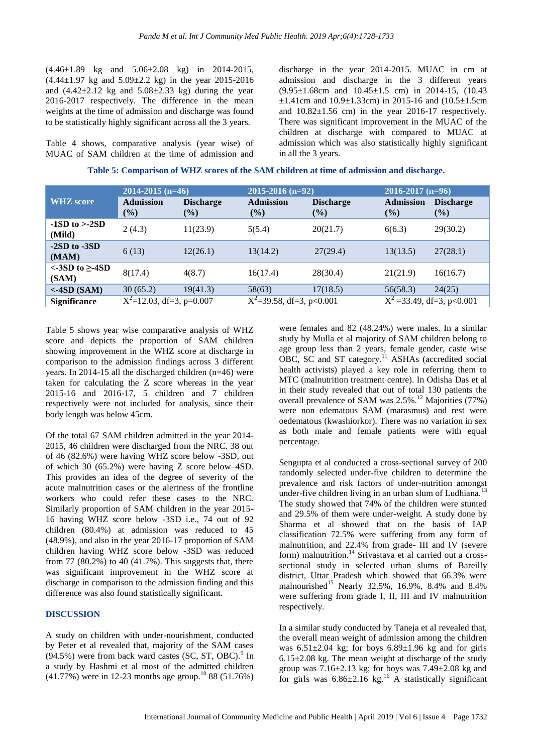(4.46±1.89 kg and 5.06±2.08 kg) in 2014-2015,  $(4.44\pm1.97 \text{ kg and } 5.09\pm2.2 \text{ kg})$  in the year 2015-2016 and  $(4.42\pm2.12 \text{ kg}$  and  $5.08\pm2.33 \text{ kg})$  during the year 2016-2017 respectively. The difference in the mean weights at the time of admission and discharge was found to be statistically highly significant across all the 3 years.

Table 4 shows, comparative analysis (year wise) of MUAC of SAM children at the time of admission and discharge in the year 2014-2015. MUAC in cm at admission and discharge in the 3 different years (9.95±1.68cm and 10.45±1.5 cm) in 2014-15, (10.43 ±1.41cm and 10.9±1.33cm) in 2015-16 and (10.5±1.5cm and 10.82±1.56 cm) in the year 2016-17 respectively. There was significant improvement in the MUAC of the children at discharge with compared to MUAC at admission which was also statistically highly significant in all the 3 years.

|                                 | $2014 - 2015$ (n=46)        |                            | $2015 - 2016$ (n=92)        |                            | $2016 - 2017$ (n=96)          |                         |  |
|---------------------------------|-----------------------------|----------------------------|-----------------------------|----------------------------|-------------------------------|-------------------------|--|
| <b>WHZ</b> score                | <b>Admission</b><br>$(\%)$  | <b>Discharge</b><br>$(\%)$ | <b>Admission</b><br>$(\%)$  | <b>Discharge</b><br>$(\%)$ | <b>Admission</b><br>(%)       | <b>Discharge</b><br>(%) |  |
| $-1SD$ to $\geq$ -2SD<br>(Mild) | 2(4.3)                      | 11(23.9)                   | 5(5.4)                      | 20(21.7)                   | 6(6.3)                        | 29(30.2)                |  |
| $-2SD$ to $-3SD$<br>(MAM)       | 6(13)                       | 12(26.1)                   | 13(14.2)                    | 27(29.4)                   | 13(13.5)                      | 27(28.1)                |  |
| $<$ -3SD to $\ge$ -4SD<br>(SAM) | 8(17.4)                     | 4(8.7)                     | 16(17.4)                    | 28(30.4)                   | 21(21.9)                      | 16(16.7)                |  |
| $<$ -4SD (SAM)                  | 30(65.2)                    | 19(41.3)                   | 58(63)                      | 17(18.5)                   | 56(58.3)                      | 24(25)                  |  |
| <b>Significance</b>             | $X^2$ =12.03, df=3, p=0.007 |                            | $X^2$ =39.58, df=3, p<0.001 |                            | $X^2 = 33.49$ , df=3, p<0.001 |                         |  |

| Table 5: Comparison of WHZ scores of the SAM children at time of admission and discharge. |  |  |
|-------------------------------------------------------------------------------------------|--|--|
|                                                                                           |  |  |

Table 5 shows year wise comparative analysis of WHZ score and depicts the proportion of SAM children showing improvement in the WHZ score at discharge in comparison to the admission findings across 3 different years. In 2014-15 all the discharged children (n=46) were taken for calculating the Z score whereas in the year 2015-16 and 2016-17, 5 children and 7 children respectively were not included for analysis, since their body length was below 45cm.

Of the total 67 SAM children admitted in the year 2014- 2015, 46 children were discharged from the NRC. 38 out of 46 (82.6%) were having WHZ score below -3SD, out of which 30 (65.2%) were having Z score below–4SD. This provides an idea of the degree of severity of the acute malnutrition cases or the alertness of the frontline workers who could refer these cases to the NRC. Similarly proportion of SAM children in the year 2015- 16 having WHZ score below -3SD i.e., 74 out of 92 children (80.4%) at admission was reduced to 45 (48.9%), and also in the year 2016-17 proportion of SAM children having WHZ score below -3SD was reduced from 77 (80.2%) to 40 (41.7%). This suggests that, there was significant improvement in the WHZ score at discharge in comparison to the admission finding and this difference was also found statistically significant.

#### **DISCUSSION**

A study on children with under-nourishment, conducted by Peter et al revealed that, majority of the SAM cases  $(94.5\%)$  were from back ward castes (SC, ST, OBC).<sup>9</sup> In a study by Hashmi et al most of the admitted children  $(41.77%)$  were in 12-23 months age group.<sup>10</sup> 88 (51.76%) were females and 82 (48.24%) were males. In a similar study by Mulla et al majority of SAM children belong to age group less than 2 years, female gender, caste wise  $\overrightarrow{OBC}$ ,  $\overrightarrow{SC}$  and  $\overrightarrow{ST}$  category.<sup>11</sup> ASHAs (accredited social health activists) played a key role in referring them to MTC (malnutrition treatment centre). In Odisha Das et al in their study revealed that out of total 130 patients the overall prevalence of SAM was 2.5%.<sup>12</sup> Majorities (77%) were non edematous SAM (marasmus) and rest were oedematous (kwashiorkor). There was no variation in sex as both male and female patients were with equal percentage.

Sengupta et al conducted a cross-sectional survey of 200 randomly selected under-five children to determine the prevalence and risk factors of under-nutrition amongst under-five children living in an urban slum of Ludhiana.<sup>1</sup> The study showed that 74% of the children were stunted and 29.5% of them were under-weight. A study done by Sharma et al showed that on the basis of IAP classification 72.5% were suffering from any form of malnutrition, and 22.4% from grade- III and IV (severe form) malnutrition.<sup>14</sup> Srivastava et al carried out a crosssectional study in selected urban slums of Bareilly district, Uttar Pradesh which showed that 66.3% were malnourished<sup>15</sup> Nearly 32.5%, 16.9%, 8.4% and 8.4% were suffering from grade I, II, III and IV malnutrition respectively.

In a similar study conducted by Taneja et al revealed that, the overall mean weight of admission among the children was  $6.51\pm2.04$  kg; for boys  $6.89\pm1.96$  kg and for girls  $6.15\pm2.08$  kg. The mean weight at discharge of the study group was 7.16±2.13 kg; for boys was 7.49±2.08 kg and for girls was  $6.86\pm2.16$  kg.<sup>16</sup> A statistically significant